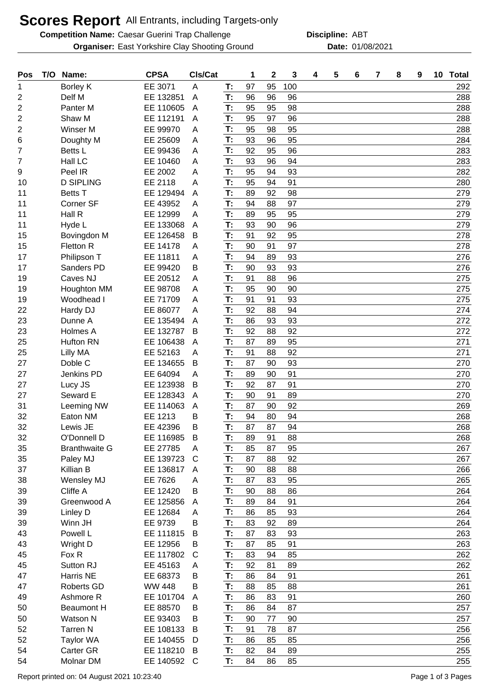## **Scores Report** All Entrants, including Targets-only

**Competition Name: Caesar Guerini Trap Challenge The Computer Construct Discipline: ABT Organiser:** East Yorkshire Clay Shooting Ground **Date:** 01/08/2021

**Discipline:**

| Pos            | T/O | Name:                  | <b>CPSA</b>          | CIs/Cat      |          | 1        | $\mathbf 2$ | 3        | 4 | 5 | 6 | 7 | 8 | 9 | 10 | <b>Total</b> |
|----------------|-----|------------------------|----------------------|--------------|----------|----------|-------------|----------|---|---|---|---|---|---|----|--------------|
| 1              |     | Borley K               | EE 3071              | A            | Т:       | 97       | 95          | 100      |   |   |   |   |   |   |    | 292          |
| $\overline{2}$ |     | Delf M                 | EE 132851            | A            | T:       | 96       | 96          | 96       |   |   |   |   |   |   |    | 288          |
| $\overline{2}$ |     | Panter <sub>M</sub>    | EE 110605            | A            | T:       | 95       | 95          | 98       |   |   |   |   |   |   |    | 288          |
| 2              |     | Shaw M                 | EE 112191            | A            | T:       | 95       | 97          | 96       |   |   |   |   |   |   |    | 288          |
| $\overline{2}$ |     | Winser M               | EE 99970             | A            | T:       | 95       | 98          | 95       |   |   |   |   |   |   |    | 288          |
| 6              |     | Doughty M              | EE 25609             | A            | T:       | 93       | 96          | 95       |   |   |   |   |   |   |    | 284          |
| 7              |     | Betts L                | EE 99436             | A            | T:       | 92       | 95          | 96       |   |   |   |   |   |   |    | 283          |
| 7              |     | Hall LC                | EE 10460             | A            | T:       | 93       | 96          | 94       |   |   |   |   |   |   |    | 283          |
| 9              |     | Peel IR                | EE 2002              | A            | T:       | 95       | 94          | 93       |   |   |   |   |   |   |    | 282          |
| 10             |     | <b>D SIPLING</b>       | EE 2118              | Α            | T:       | 95       | 94          | 91       |   |   |   |   |   |   |    | 280          |
| 11             |     | <b>Betts T</b>         | EE 129494            | A            | T:       | 89       | 92          | 98       |   |   |   |   |   |   |    | 279          |
| 11             |     | Corner SF              | EE 43952             | A            | T:       | 94       | 88          | 97       |   |   |   |   |   |   |    | 279          |
| 11             |     | Hall R                 | EE 12999             | A            | T:       | 89       | 95          | 95       |   |   |   |   |   |   |    | 279          |
| 11             |     | Hyde L                 | EE 133068            | A            | T:       | 93       | 90          | 96       |   |   |   |   |   |   |    | 279          |
| 15             |     | Bovingdon M            | EE 126458            | B            | T:       | 91       | 92          | 95       |   |   |   |   |   |   |    | 278          |
| 15             |     | Fletton R              | EE 14178             | Α            | T:       | 90       | 91          | 97       |   |   |   |   |   |   |    | 278          |
| 17             |     | Philipson T            | EE 11811             | Α            | T:       | 94       | 89          | 93       |   |   |   |   |   |   |    | 276          |
| 17             |     | Sanders PD             | EE 99420             | В            | T:       | 90       | 93          | 93       |   |   |   |   |   |   |    | 276          |
| 19             |     | Caves NJ               | EE 20512             | A            | T:       | 91       | 88          | 96       |   |   |   |   |   |   |    | 275          |
| 19             |     | Houghton MM            | EE 98708             | A            | T:       | 95       | 90          | 90       |   |   |   |   |   |   |    | 275          |
| 19             |     | Woodhead I             | EE 71709             | Α            | T:       | 91       | 91          | 93       |   |   |   |   |   |   |    | 275          |
| 22             |     | Hardy DJ               | EE 86077             | A            | T:       | 92       | 88          | 94       |   |   |   |   |   |   |    | 274          |
| 23             |     | Dunne A                | EE 135494            | A            | T:       | 86       | 93          | 93       |   |   |   |   |   |   |    | 272          |
| 23             |     | Holmes A               | EE 132787            | B            | T:       | 92       | 88          | 92       |   |   |   |   |   |   |    | 272          |
| 25             |     | <b>Hufton RN</b>       | EE 106438            | A            | T:       | 87       | 89          | 95       |   |   |   |   |   |   |    | 271          |
| 25             |     | Lilly MA               | EE 52163             | A            | T:       | 91       | 88          | 92       |   |   |   |   |   |   |    | 271          |
| 27             |     | Doble C                | EE 134655            | B            | T:       | 87       | 90          | 93       |   |   |   |   |   |   |    | 270          |
| 27             |     | Jenkins PD             | EE 64094             | A            | T:       | 89       | 90<br>87    | 91       |   |   |   |   |   |   |    | 270          |
| 27             |     | Lucy JS                | EE 123938            | B            | T:       | 92       |             | 91       |   |   |   |   |   |   |    | 270          |
| 27             |     | Seward E               | EE 128343            | A            | T:<br>T: | 90<br>87 | 91          | 89<br>92 |   |   |   |   |   |   |    | 270          |
| 31<br>32       |     | Leeming NW<br>Eaton NM | EE 114063<br>EE 1213 | A<br>B       | T:       | 94       | 90<br>80    | 94       |   |   |   |   |   |   |    | 269<br>268   |
| 32             |     | Lewis JE               | EE 42396             | В            | T:       | 87       | 87          | 94       |   |   |   |   |   |   |    | 268          |
| 32             |     | O'Donnell D            | EE 116985            | В            | T:       | 89       | 91          | 88       |   |   |   |   |   |   |    | 268          |
| 35             |     | <b>Branthwaite G</b>   | EE 27785             | Α            | T:       | 85       | 87          | 95       |   |   |   |   |   |   |    | 267          |
| 35             |     | Paley MJ               | EE 139723            | $\mathsf{C}$ | T:       | 87       | 88          | 92       |   |   |   |   |   |   |    | 267          |
| 37             |     | Killian B              | EE 136817            | A            | T:       | 90       | 88          | 88       |   |   |   |   |   |   |    | 266          |
| 38             |     | Wensley MJ             | EE 7626              | Α            | T:       | 87       | 83          | 95       |   |   |   |   |   |   |    | 265          |
| 39             |     | Cliffe A               | EE 12420             | B            | T:       | 90       | 88          | 86       |   |   |   |   |   |   |    | 264          |
| 39             |     | Greenwood A            | EE 125856            | A            | Т.       | 89       | 84          | 91       |   |   |   |   |   |   |    | 264          |
| 39             |     | Linley D               | EE 12684             | A            | T:       | 86       | 85          | 93       |   |   |   |   |   |   |    | 264          |
| 39             |     | Winn JH                | EE 9739              | B            | T:       | 83       | 92          | 89       |   |   |   |   |   |   |    | 264          |
| 43             |     | Powell L               | EE 111815            | B            | T:       | 87       | 83          | 93       |   |   |   |   |   |   |    | 263          |
| 43             |     | Wright D               | EE 12956             | B            | T:       | 87       | 85          | 91       |   |   |   |   |   |   |    | 263          |
| 45             |     | Fox R                  | EE 117802            | C            | T:       | 83       | 94          | 85       |   |   |   |   |   |   |    | 262          |
| 45             |     | Sutton RJ              | EE 45163             | A            | T:       | 92       | 81          | 89       |   |   |   |   |   |   |    | 262          |
| 47             |     | <b>Harris NE</b>       | EE 68373             | B            | T:       | 86       | 84          | 91       |   |   |   |   |   |   |    | 261          |
| 47             |     | Roberts GD             | <b>WW 448</b>        | B            | T:       | 88       | 85          | 88       |   |   |   |   |   |   |    | 261          |
| 49             |     | Ashmore R              | EE 101704            | A            | T:       | 86       | 83          | 91       |   |   |   |   |   |   |    | 260          |
| 50             |     | <b>Beaumont H</b>      | EE 88570             | B            | T:       | 86       | 84          | 87       |   |   |   |   |   |   |    | 257          |
| 50             |     | Watson N               | EE 93403             | B            | T:       | 90       | 77          | 90       |   |   |   |   |   |   |    | 257          |
| 52             |     | <b>Tarren N</b>        | EE 108133            | B            | T:       | 91       | 78          | 87       |   |   |   |   |   |   |    | 256          |
| 52             |     | <b>Taylor WA</b>       | EE 140455            | D            | T:       | 86       | 85          | 85       |   |   |   |   |   |   |    | 256          |
| 54             |     | Carter GR              | EE 118210            | B            | T:       | 82       | 84          | 89       |   |   |   |   |   |   |    | 255          |
| 54             |     | Molnar DM              | EE 140592            | $\mathsf{C}$ | T:       | 84       | 86          | 85       |   |   |   |   |   |   |    | 255          |
|                |     |                        |                      |              |          |          |             |          |   |   |   |   |   |   |    |              |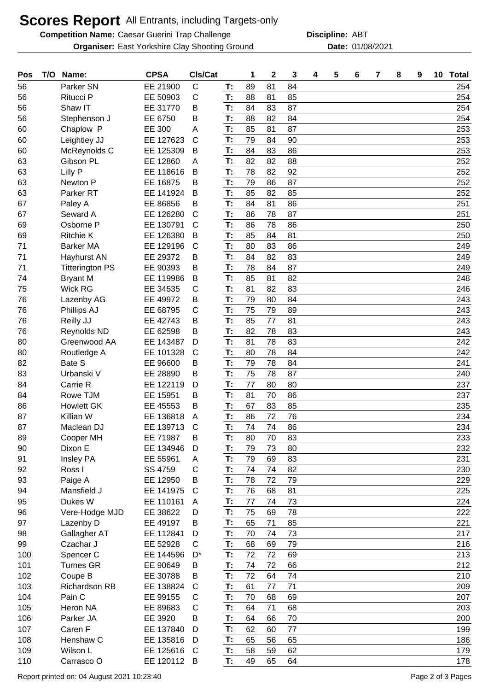## **Scores Report** All Entrants, including Targets-only

**Competition Name: Caesar Guerini Trap Challenge The Computer Construct Discipline: ABT Organiser:** East Yorkshire Clay Shooting Ground **Date:** 01/08/2021

**Discipline:**

| Pos | T/O | Name:                  | <b>CPSA</b> | CIs/Cat        |    | 1  | $\mathbf 2$ | 3  | 4 | 5 | 6 | 7 | 8 | 9 | 10 <sub>1</sub> | <b>Total</b> |
|-----|-----|------------------------|-------------|----------------|----|----|-------------|----|---|---|---|---|---|---|-----------------|--------------|
| 56  |     | Parker SN              | EE 21900    | C              | T: | 89 | 81          | 84 |   |   |   |   |   |   |                 | 254          |
| 56  |     | Ritucci P              | EE 50903    | C              | T: | 88 | 81          | 85 |   |   |   |   |   |   |                 | 254          |
| 56  |     | Shaw IT                | EE 31770    | В              | T: | 84 | 83          | 87 |   |   |   |   |   |   |                 | 254          |
| 56  |     | Stephenson J           | EE 6750     | B              | T: | 88 | 82          | 84 |   |   |   |   |   |   |                 | 254          |
| 60  |     | Chaplow P              | EE 300      | Α              | T: | 85 | 81          | 87 |   |   |   |   |   |   |                 | 253          |
| 60  |     | Leightley JJ           | EE 127623   | $\mathsf{C}$   | T: | 79 | 84          | 90 |   |   |   |   |   |   |                 | 253          |
| 60  |     | McReynolds C           | EE 125309   | B              | T: | 84 | 83          | 86 |   |   |   |   |   |   |                 | 253          |
| 63  |     | Gibson PL              | EE 12860    | A              | T: | 82 | 82          | 88 |   |   |   |   |   |   |                 | 252          |
| 63  |     | Lilly P                | EE 118616   | B              | T: | 78 | 82          | 92 |   |   |   |   |   |   |                 | 252          |
| 63  |     | Newton P               | EE 16875    | B              | T: | 79 | 86          | 87 |   |   |   |   |   |   |                 | 252          |
| 63  |     | Parker <sub>RT</sub>   | EE 141924   | B              | T: | 85 | 82          | 85 |   |   |   |   |   |   |                 | 252          |
| 67  |     | Paley A                | EE 86856    | B              | T: | 84 | 81          | 86 |   |   |   |   |   |   |                 | 251          |
| 67  |     | Seward A               | EE 126280   | $\mathsf{C}$   | T: | 86 | 78          | 87 |   |   |   |   |   |   |                 | 251          |
| 69  |     | Osborne P              | EE 130791   | $\mathsf{C}$   | T: | 86 | 78          | 86 |   |   |   |   |   |   |                 | 250          |
| 69  |     | <b>Ritchie K</b>       | EE 126380   | B              | T: | 85 | 84          | 81 |   |   |   |   |   |   |                 | 250          |
| 71  |     | <b>Barker MA</b>       | EE 129196   | $\mathsf{C}$   | T: | 80 | 83          | 86 |   |   |   |   |   |   |                 | 249          |
| 71  |     | Hayhurst AN            | EE 29372    | В              | T: | 84 | 82          | 83 |   |   |   |   |   |   |                 | 249          |
| 71  |     | <b>Titterington PS</b> | EE 90393    | B              | T: | 78 | 84          | 87 |   |   |   |   |   |   |                 | 249          |
| 74  |     | <b>Bryant M</b>        | EE 119986   | B              | T: | 85 | 81          | 82 |   |   |   |   |   |   |                 | 248          |
| 75  |     | <b>Wick RG</b>         | EE 34535    | С              | T: | 81 | 82          | 83 |   |   |   |   |   |   |                 | 246          |
| 76  |     | Lazenby AG             | EE 49972    | B              | T: | 79 | 80          | 84 |   |   |   |   |   |   |                 | 243          |
| 76  |     | Phillips AJ            | EE 68795    | С              | T: | 75 | 79          | 89 |   |   |   |   |   |   |                 | 243          |
| 76  |     | Reilly JJ              | EE 42743    | B              | T: | 85 | 77          | 81 |   |   |   |   |   |   |                 | 243          |
| 76  |     | <b>Reynolds ND</b>     | EE 62598    | В              | T: | 82 | 78          | 83 |   |   |   |   |   |   |                 | 243          |
| 80  |     | Greenwood AA           | EE 143487   | D              | T: | 81 | 78          | 83 |   |   |   |   |   |   |                 | 242          |
| 80  |     | Routledge A            | EE 101328   | $\mathsf{C}$   | T: | 80 | 78          | 84 |   |   |   |   |   |   |                 | 242          |
| 82  |     | Bate S                 | EE 96600    | В              | T: | 79 | 78          | 84 |   |   |   |   |   |   |                 | 241          |
| 83  |     | Urbanski V             | EE 28890    | B              | T: | 75 | 78          | 87 |   |   |   |   |   |   |                 | 240          |
| 84  |     | Carrie R               | EE 122119   | D              | T: | 77 | 80          | 80 |   |   |   |   |   |   |                 | 237          |
| 84  |     | Rowe TJM               | EE 15951    | В              | T: | 81 | 70          | 86 |   |   |   |   |   |   |                 | 237          |
| 86  |     | <b>Howlett GK</b>      | EE 45553    | B              | T: | 67 | 83          | 85 |   |   |   |   |   |   |                 | 235          |
| 87  |     | Killian W              | EE 136818   | A              | T: | 86 | 72          | 76 |   |   |   |   |   |   |                 | 234          |
| 87  |     | Maclean DJ             | EE 139713   | C              | T: | 74 | 74          | 86 |   |   |   |   |   |   |                 | 234          |
| 89  |     | Cooper MH              | EE 71987    | B              | T: | 80 | 70          | 83 |   |   |   |   |   |   |                 | 233          |
| 90  |     | Dixon E                | EE 134946   | D              | T: | 79 | 73          | 80 |   |   |   |   |   |   |                 | 232          |
| 91  |     | Insley PA              | EE 55961    | Α              | T: | 79 | 69          | 83 |   |   |   |   |   |   |                 | 231          |
| 92  |     | Ross I                 | SS 4759     | С              | T: | 74 | 74          | 82 |   |   |   |   |   |   |                 | 230          |
| 93  |     | Paige A                | EE 12950    | B              | T: | 78 | 72          | 79 |   |   |   |   |   |   |                 | 229          |
| 94  |     | Mansfield J            | EE 141975   | C              | T: | 76 | 68          | 81 |   |   |   |   |   |   |                 | 225          |
| 95  |     | Dukes W                | EE 110161   | $\overline{A}$ | T: | 77 | 74          | 73 |   |   |   |   |   |   |                 | 224          |
| 96  |     | Vere-Hodge MJD         | EE 38622    | D              | T: | 75 | 69          | 78 |   |   |   |   |   |   |                 | 222          |
| 97  |     | Lazenby D              | EE 49197    | B              | T: | 65 | 71          | 85 |   |   |   |   |   |   |                 | 221          |
| 98  |     | Gallagher AT           | EE 112841   | D              | T: | 70 | 74          | 73 |   |   |   |   |   |   |                 | 217          |
| 99  |     | Czachar J              | EE 52928    | $\mathsf{C}$   | T: | 68 | 69          | 79 |   |   |   |   |   |   |                 | 216          |
| 100 |     | Spencer C              | EE 144596   | D*             | T: | 72 | 72          | 69 |   |   |   |   |   |   |                 | 213          |
| 101 |     | <b>Turnes GR</b>       | EE 90649    | B              | T: | 74 | 72          | 66 |   |   |   |   |   |   |                 | 212          |
| 102 |     | Coupe B                | EE 30788    | B              | T: | 72 | 64          | 74 |   |   |   |   |   |   |                 | 210          |
| 103 |     | <b>Richardson RB</b>   | EE 138824   | $\mathsf{C}$   | T: | 61 | 77          | 71 |   |   |   |   |   |   |                 | 209          |
| 104 |     | Pain C                 | EE 99155    | C              | T: | 70 | 68          | 69 |   |   |   |   |   |   |                 | 207          |
| 105 |     | Heron NA               | EE 89683    | С              | T: | 64 | 71          | 68 |   |   |   |   |   |   |                 | 203          |
| 106 |     | Parker JA              | EE 3920     | B              | T: | 64 | 66          | 70 |   |   |   |   |   |   |                 | 200          |
| 107 |     | Caren F                | EE 137840   | D              | T: | 62 | 60          | 77 |   |   |   |   |   |   |                 | 199          |
| 108 |     | Henshaw C              | EE 135816   | D              | T: | 65 | 56          | 65 |   |   |   |   |   |   |                 | 186          |
| 109 |     | Wilson L               | EE 125616   | C              | T: | 58 | 59          | 62 |   |   |   |   |   |   |                 | 179          |
| 110 |     | Carrasco O             | EE 120112   | B              | T: | 49 | 65          | 64 |   |   |   |   |   |   |                 | 178          |
|     |     |                        |             |                |    |    |             |    |   |   |   |   |   |   |                 |              |